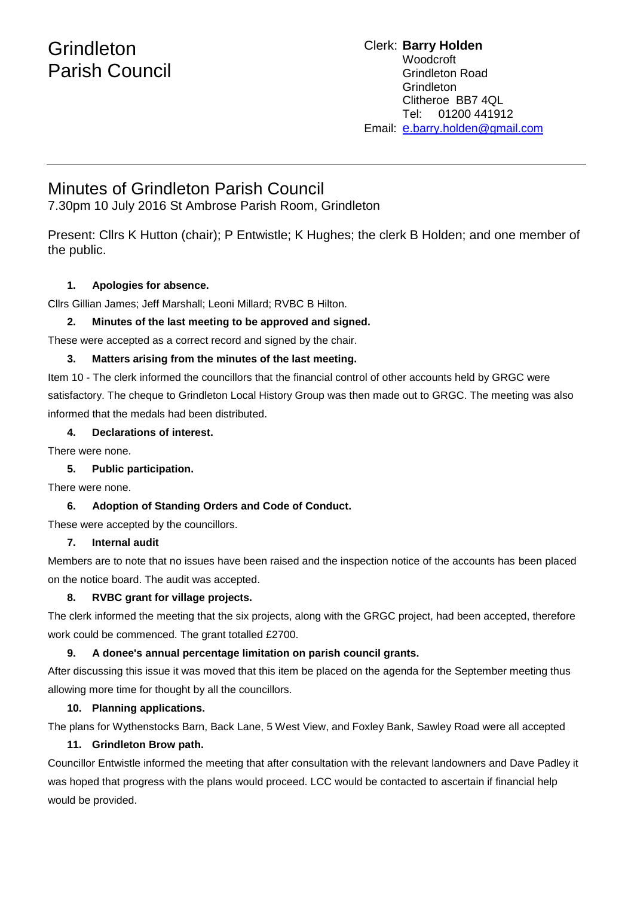# **Grindleton** Parish Council

#### Clerk: **Barry Holden** Woodcroft Grindleton Road Grindleton Clitheroe BB7 4QL Tel: 01200 441912 Email: [e](mailto:edwardbholden@yahoo.co.uk).barry.holden@gmail.com

# Minutes of Grindleton Parish Council

7.30pm 10 July 2016 St Ambrose Parish Room, Grindleton

Present: Cllrs K Hutton (chair); P Entwistle; K Hughes; the clerk B Holden; and one member of the public.

# **1. Apologies for absence.**

Cllrs Gillian James; Jeff Marshall; Leoni Millard; RVBC B Hilton.

# **2. Minutes of the last meeting to be approved and signed.**

These were accepted as a correct record and signed by the chair.

# **3. Matters arising from the minutes of the last meeting.**

Item 10 - The clerk informed the councillors that the financial control of other accounts held by GRGC were satisfactory. The cheque to Grindleton Local History Group was then made out to GRGC. The meeting was also informed that the medals had been distributed.

#### **4. Declarations of interest.**

There were none.

# **5. Public participation.**

There were none.

# **6. Adoption of Standing Orders and Code of Conduct.**

These were accepted by the councillors.

# **7. Internal audit**

Members are to note that no issues have been raised and the inspection notice of the accounts has been placed on the notice board. The audit was accepted.

# **8. RVBC grant for village projects.**

The clerk informed the meeting that the six projects, along with the GRGC project, had been accepted, therefore work could be commenced. The grant totalled £2700.

# **9. A donee's annual percentage limitation on parish council grants.**

After discussing this issue it was moved that this item be placed on the agenda for the September meeting thus allowing more time for thought by all the councillors.

# **10. Planning applications.**

The plans for Wythenstocks Barn, Back Lane, 5 West View, and Foxley Bank, Sawley Road were all accepted

# **11. Grindleton Brow path.**

Councillor Entwistle informed the meeting that after consultation with the relevant landowners and Dave Padley it was hoped that progress with the plans would proceed. LCC would be contacted to ascertain if financial help would be provided.